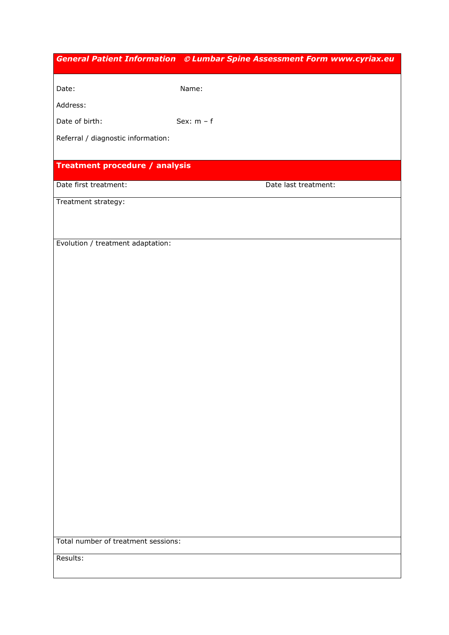| Date:<br>Name:<br>Address:<br>Sex: $m - f$<br>Date of birth:<br>Referral / diagnostic information:<br><b>Treatment procedure / analysis</b><br>Date first treatment:<br>Date last treatment:<br>Treatment strategy:<br>Evolution / treatment adaptation: |
|----------------------------------------------------------------------------------------------------------------------------------------------------------------------------------------------------------------------------------------------------------|
|                                                                                                                                                                                                                                                          |
|                                                                                                                                                                                                                                                          |
|                                                                                                                                                                                                                                                          |
|                                                                                                                                                                                                                                                          |
|                                                                                                                                                                                                                                                          |
|                                                                                                                                                                                                                                                          |
|                                                                                                                                                                                                                                                          |
|                                                                                                                                                                                                                                                          |
|                                                                                                                                                                                                                                                          |
|                                                                                                                                                                                                                                                          |
|                                                                                                                                                                                                                                                          |
|                                                                                                                                                                                                                                                          |
|                                                                                                                                                                                                                                                          |
|                                                                                                                                                                                                                                                          |
|                                                                                                                                                                                                                                                          |
|                                                                                                                                                                                                                                                          |
|                                                                                                                                                                                                                                                          |
|                                                                                                                                                                                                                                                          |
|                                                                                                                                                                                                                                                          |
|                                                                                                                                                                                                                                                          |
|                                                                                                                                                                                                                                                          |
|                                                                                                                                                                                                                                                          |
|                                                                                                                                                                                                                                                          |
|                                                                                                                                                                                                                                                          |
|                                                                                                                                                                                                                                                          |
|                                                                                                                                                                                                                                                          |
|                                                                                                                                                                                                                                                          |
|                                                                                                                                                                                                                                                          |
|                                                                                                                                                                                                                                                          |
| Total number of treatment sessions:                                                                                                                                                                                                                      |
|                                                                                                                                                                                                                                                          |
| Results:                                                                                                                                                                                                                                                 |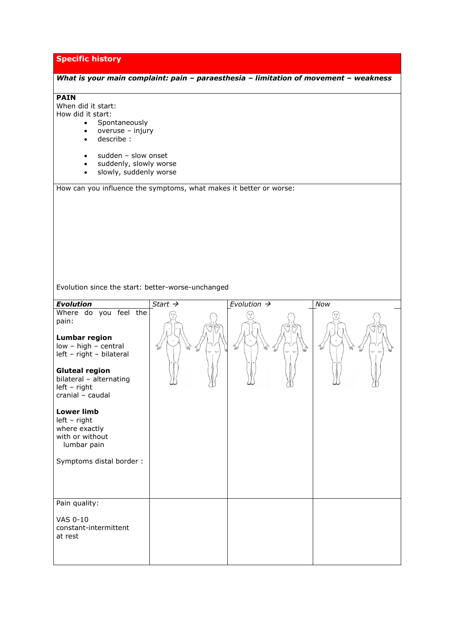# **Specific history**

| What is your main complaint: pain - paraesthesia - limitation of movement - weakness<br><b>PAIN</b><br>When did it start:<br>How did it start:<br>Spontaneously<br>$\bullet$<br>overuse - injury<br>$\bullet$<br>describe:<br>$\bullet$<br>sudden - slow onset<br>$\bullet$<br>suddenly, slowly worse<br>$\bullet$<br>slowly, suddenly worse<br>$\bullet$ |                     |                         |     |
|-----------------------------------------------------------------------------------------------------------------------------------------------------------------------------------------------------------------------------------------------------------------------------------------------------------------------------------------------------------|---------------------|-------------------------|-----|
| How can you influence the symptoms, what makes it better or worse:                                                                                                                                                                                                                                                                                        |                     |                         |     |
|                                                                                                                                                                                                                                                                                                                                                           |                     |                         |     |
|                                                                                                                                                                                                                                                                                                                                                           |                     |                         |     |
|                                                                                                                                                                                                                                                                                                                                                           |                     |                         |     |
|                                                                                                                                                                                                                                                                                                                                                           |                     |                         |     |
|                                                                                                                                                                                                                                                                                                                                                           |                     |                         |     |
|                                                                                                                                                                                                                                                                                                                                                           |                     |                         |     |
|                                                                                                                                                                                                                                                                                                                                                           |                     |                         |     |
| Evolution since the start: better-worse-unchanged                                                                                                                                                                                                                                                                                                         |                     |                         |     |
| <b>Evolution</b>                                                                                                                                                                                                                                                                                                                                          | Start $\rightarrow$ | Evolution $\rightarrow$ | Now |
| Where do you feel the<br>pain:<br><b>Lumbar region</b><br>low - high - central<br>left - right - bilateral                                                                                                                                                                                                                                                |                     |                         |     |
| <b>Gluteal region</b><br>bilateral - alternating<br>$left - right$<br>cranial - caudal                                                                                                                                                                                                                                                                    |                     |                         |     |
| <b>Lower limb</b><br>$left - right$<br>where exactly<br>with or without<br>lumbar pain                                                                                                                                                                                                                                                                    |                     |                         |     |
| Symptoms distal border:                                                                                                                                                                                                                                                                                                                                   |                     |                         |     |
|                                                                                                                                                                                                                                                                                                                                                           |                     |                         |     |
| Pain quality:                                                                                                                                                                                                                                                                                                                                             |                     |                         |     |
| VAS 0-10                                                                                                                                                                                                                                                                                                                                                  |                     |                         |     |
| constant-intermittent<br>at rest                                                                                                                                                                                                                                                                                                                          |                     |                         |     |
|                                                                                                                                                                                                                                                                                                                                                           |                     |                         |     |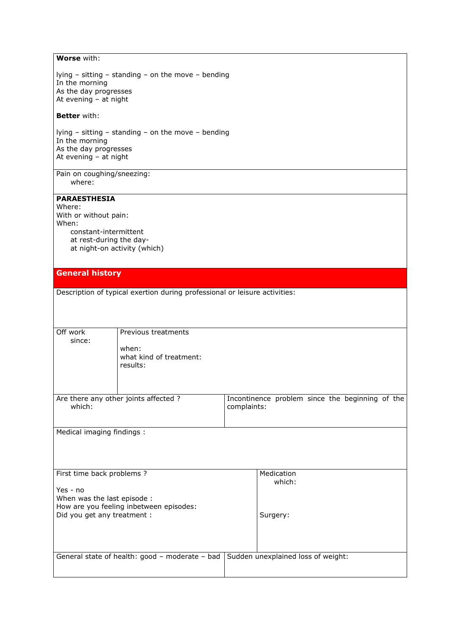## **Worse** with:

lying – sitting – standing – on the move – bending In the morning As the day progresses At evening – at night

#### **Better** with:

lying – sitting – standing – on the move – bending In the morning As the day progresses At evening – at night

Pain on coughing/sneezing: where:

### **PARAESTHESIA**

Where: With or without pain: When: constant-intermittent at rest-during the day at night-on activity (which)

#### **General history**

Description of typical exertion during professional or leisure activities:

| Off work<br>since:          | Previous treatments                            |             |                                                 |
|-----------------------------|------------------------------------------------|-------------|-------------------------------------------------|
|                             | when:<br>what kind of treatment:               |             |                                                 |
|                             | results:                                       |             |                                                 |
|                             |                                                |             |                                                 |
| which:                      | Are there any other joints affected?           | complaints: | Incontinence problem since the beginning of the |
|                             |                                                |             |                                                 |
| Medical imaging findings :  |                                                |             |                                                 |
|                             |                                                |             |                                                 |
|                             |                                                |             |                                                 |
|                             |                                                |             |                                                 |
| First time back problems ?  |                                                |             | Medication                                      |
| Yes - no                    |                                                |             | which:                                          |
| When was the last episode : |                                                |             |                                                 |
|                             | How are you feeling inbetween episodes:        |             |                                                 |
| Did you get any treatment : |                                                |             | Surgery:                                        |
|                             |                                                |             |                                                 |
|                             |                                                |             |                                                 |
|                             |                                                |             |                                                 |
|                             | General state of health: good - moderate - bad |             | Sudden unexplained loss of weight:              |
|                             |                                                |             |                                                 |
|                             |                                                |             |                                                 |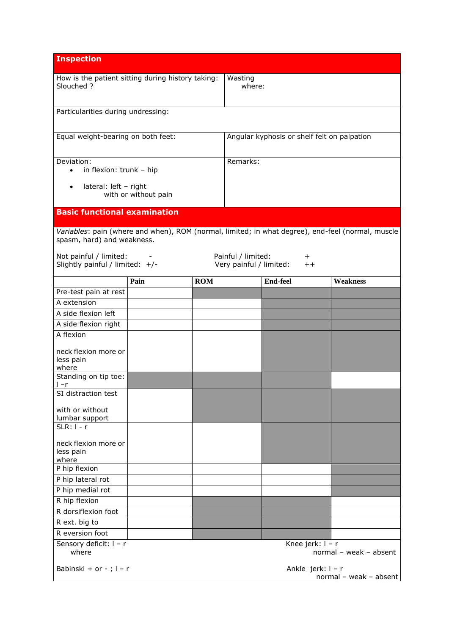| <b>Inspection</b>                                                                                                               |                      |                                             |                                               |                 |                         |                 |
|---------------------------------------------------------------------------------------------------------------------------------|----------------------|---------------------------------------------|-----------------------------------------------|-----------------|-------------------------|-----------------|
| How is the patient sitting during history taking:<br>Slouched ?                                                                 |                      | Wasting<br>where:                           |                                               |                 |                         |                 |
| Particularities during undressing:                                                                                              |                      |                                             |                                               |                 |                         |                 |
| Equal weight-bearing on both feet:                                                                                              |                      | Angular kyphosis or shelf felt on palpation |                                               |                 |                         |                 |
| Deviation:<br>in flexion: trunk - hip<br>$\bullet$                                                                              |                      | Remarks:                                    |                                               |                 |                         |                 |
| lateral: left - right<br>$\bullet$                                                                                              | with or without pain |                                             |                                               |                 |                         |                 |
| <b>Basic functional examination</b>                                                                                             |                      |                                             |                                               |                 |                         |                 |
| Variables: pain (where and when), ROM (normal, limited; in what degree), end-feel (normal, muscle<br>spasm, hard) and weakness. |                      |                                             |                                               |                 |                         |                 |
| Not painful / limited:<br>Slightly painful / limited: +/-                                                                       |                      |                                             | Painful / limited:<br>Very painful / limited: |                 | $^+$<br>$^{\mathrm{+}}$ |                 |
|                                                                                                                                 | Pain                 | <b>ROM</b>                                  |                                               | <b>End-feel</b> |                         | <b>Weakness</b> |
| Pre-test pain at rest                                                                                                           |                      |                                             |                                               |                 |                         |                 |
| A extension                                                                                                                     |                      |                                             |                                               |                 |                         |                 |
| A side flexion left                                                                                                             |                      |                                             |                                               |                 |                         |                 |
| A side flexion right                                                                                                            |                      |                                             |                                               |                 |                         |                 |
| A flexion                                                                                                                       |                      |                                             |                                               |                 |                         |                 |
| neck flexion more or<br>less pain<br>where                                                                                      |                      |                                             |                                               |                 |                         |                 |
| Standing on tip toe:<br>l –r                                                                                                    |                      |                                             |                                               |                 |                         |                 |
| SI distraction test                                                                                                             |                      |                                             |                                               |                 |                         |                 |
| with or without<br>lumbar support                                                                                               |                      |                                             |                                               |                 |                         |                 |
| SLR: $1 - r$                                                                                                                    |                      |                                             |                                               |                 |                         |                 |
| neck flexion more or<br>less pain<br>where                                                                                      |                      |                                             |                                               |                 |                         |                 |
| P hip flexion                                                                                                                   |                      |                                             |                                               |                 |                         |                 |
| P hip lateral rot                                                                                                               |                      |                                             |                                               |                 |                         |                 |
| P hip medial rot                                                                                                                |                      |                                             |                                               |                 |                         |                 |
| R hip flexion                                                                                                                   |                      |                                             |                                               |                 |                         |                 |
| R dorsiflexion foot                                                                                                             |                      |                                             |                                               |                 |                         |                 |
| R ext. big to                                                                                                                   |                      |                                             |                                               |                 |                         |                 |
| R eversion foot                                                                                                                 |                      |                                             |                                               |                 |                         |                 |
| Sensory deficit: I - r<br>Knee jerk: I - r<br>where<br>normal - weak - absent                                                   |                      |                                             |                                               |                 |                         |                 |
| Babinski + or - ; $1 - r$<br>Ankle jerk: I - r<br>normal - weak - absent                                                        |                      |                                             |                                               |                 |                         |                 |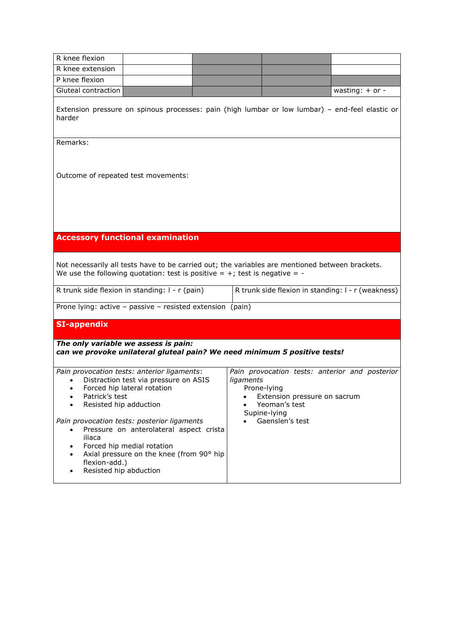| R knee flexion                                                                                                                                                                                                                                                                                                                                                                                                          |                                                                                                                                                                                  |  |  |  |
|-------------------------------------------------------------------------------------------------------------------------------------------------------------------------------------------------------------------------------------------------------------------------------------------------------------------------------------------------------------------------------------------------------------------------|----------------------------------------------------------------------------------------------------------------------------------------------------------------------------------|--|--|--|
| R knee extension                                                                                                                                                                                                                                                                                                                                                                                                        |                                                                                                                                                                                  |  |  |  |
| P knee flexion                                                                                                                                                                                                                                                                                                                                                                                                          |                                                                                                                                                                                  |  |  |  |
| Gluteal contraction                                                                                                                                                                                                                                                                                                                                                                                                     | wasting: $+$ or -                                                                                                                                                                |  |  |  |
| Extension pressure on spinous processes: pain (high lumbar or low lumbar) - end-feel elastic or<br>harder                                                                                                                                                                                                                                                                                                               |                                                                                                                                                                                  |  |  |  |
| Remarks:                                                                                                                                                                                                                                                                                                                                                                                                                |                                                                                                                                                                                  |  |  |  |
| Outcome of repeated test movements:                                                                                                                                                                                                                                                                                                                                                                                     |                                                                                                                                                                                  |  |  |  |
| <b>Accessory functional examination</b>                                                                                                                                                                                                                                                                                                                                                                                 |                                                                                                                                                                                  |  |  |  |
| Not necessarily all tests have to be carried out; the variables are mentioned between brackets.<br>We use the following quotation: test is positive = $+$ ; test is negative = -                                                                                                                                                                                                                                        |                                                                                                                                                                                  |  |  |  |
| R trunk side flexion in standing: I - r (pain)                                                                                                                                                                                                                                                                                                                                                                          | R trunk side flexion in standing: I - r (weakness)                                                                                                                               |  |  |  |
| Prone lying: active - passive - resisted extension (pain)                                                                                                                                                                                                                                                                                                                                                               |                                                                                                                                                                                  |  |  |  |
| <b>SI-appendix</b>                                                                                                                                                                                                                                                                                                                                                                                                      |                                                                                                                                                                                  |  |  |  |
| The only variable we assess is pain:<br>can we provoke unilateral gluteal pain? We need minimum 5 positive tests!                                                                                                                                                                                                                                                                                                       |                                                                                                                                                                                  |  |  |  |
| Pain provocation tests: anterior ligaments:<br>Distraction test via pressure on ASIS<br>Forced hip lateral rotation<br>Patrick's test<br>$\bullet$<br>Resisted hip adduction<br>Pain provocation tests: posterior ligaments<br>Pressure on anterolateral aspect crista<br>iliaca<br>Forced hip medial rotation<br>٠<br>Axial pressure on the knee (from 90° hip<br>$\bullet$<br>flexion-add.)<br>Resisted hip abduction | Pain provocation tests: anterior and posterior<br>ligaments<br>Prone-lying<br>Extension pressure on sacrum<br>٠<br>Yeoman's test<br>$\bullet$<br>Supine-lying<br>Gaenslen's test |  |  |  |